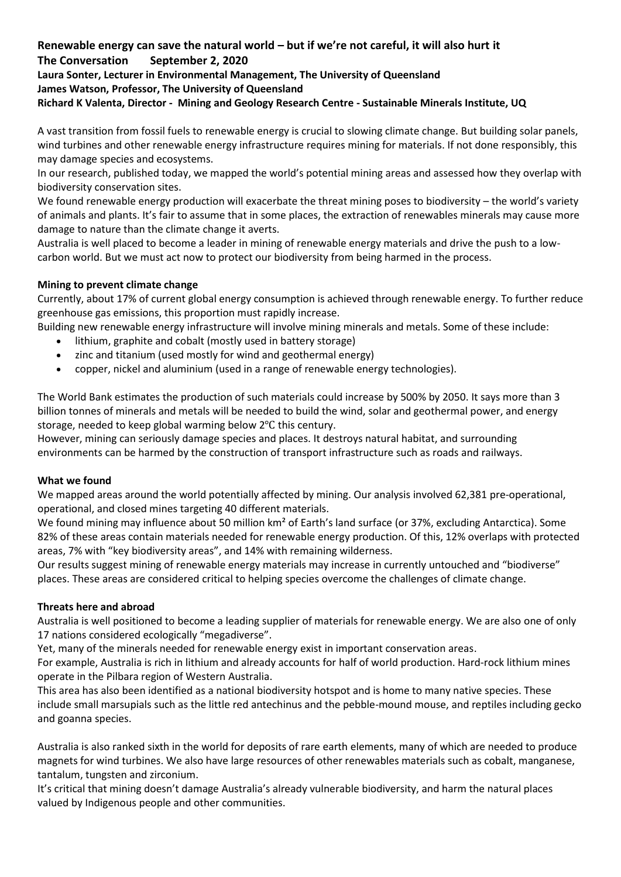# **Renewable energy can save the natural world – but if we're not careful, it will also hurt it The Conversation September 2, 2020 Laura Sonter, Lecturer in Environmental Management, The University of Queensland James Watson, Professor, The University of Queensland**

# **Richard K Valenta, Director - Mining and Geology Research Centre - Sustainable Minerals Institute, UQ**

A vast transition from fossil fuels to renewable energy is crucial to slowing climate change. But building solar panels, wind turbines and other renewable energy infrastructure requires [mining for materials.](https://www.resourcepanel.org/reports/green-energy-choices-benefits-risks-and-trade-offs-low-carbon-technologies-electricity) If not done responsibly, this may damage species and ecosystems.

In [our research](https://www.nature.com/articles/s41467-020-17928-5), published today, we mapped the world's potential mining areas and assessed how they overlap with biodiversity conservation sites.

We found renewable energy production will exacerbate the threat mining poses to biodiversity – the world's variety of animals and plants. It's fair to assume that in some places, the extraction of renewables minerals may cause more damage to nature than the climate change it averts.

Australia is well placed to become a leader in mining of renewable energy materials and drive the push to a lowcarbon world. But we must act now to protect our biodiversity from being harmed in the process.

### **Mining to prevent climate change**

Currently, [about 17%](http://documents1.worldbank.org/curated/en/207371500386458722/pdf/117581-WP-P159838-PUBLIC-ClimateSmartMiningJuly.pdf) of current global energy consumption is achieved through renewable energy. To further reduce greenhouse gas emissions, this proportion must rapidly increase.

Building new renewable energy infrastructure will involve mining minerals and metals. Some of these include:

- lithium, graphite and cobalt (mostly used in battery storage)
- zinc and titanium (used mostly for wind and geothermal energy)
- copper, nickel and aluminium (used in a range of renewable energy technologies).

The World Bank [estimates](https://www.worldbank.org/en/topic/extractiveindustries/brief/climate-smart-mining-minerals-for-climate-action) the production of such materials could increase by 500% by 2050. It says more than 3 billion tonnes of minerals and metals will be needed to build the wind, solar and geothermal power, and energy storage, needed to keep global warming below 2℃ this century.

However, mining can seriously damage species and places. It [destroys natural habitat,](https://royalsocietypublishing.org/doi/full/10.1098/rspb.2018.1926) and [surrounding](https://www.nature.com/articles/s41467-017-00557-w)  [environments](https://www.nature.com/articles/s41467-017-00557-w) can be harmed by the construction of transport infrastructure such as roads and railways.

### **What we found**

We mapped areas around the world potentially affected by mining. Our analysis involved 62,381 pre-operational, operational, and closed mines targeting 40 different materials.

We found mining may influence about 50 million km<sup>2</sup> of Earth's land surface (or 37%, excluding Antarctica). Some 82% of these areas contain materials needed for renewable energy production. Of this, 12% overlaps with protected areas, 7% with "[key biodiversity areas](http://www.keybiodiversityareas.org/home)", and 14% with remaining [wilderness.](https://www.nature.com/articles/d41586-018-07183-6)

Our results suggest mining of renewable energy materials may increase in currently untouched and "biodiverse" places. These areas are considered [critical](https://www.nature.com/articles/nclimate2918) to helping species overcome the challenges of climate change.

### **Threats here and abroad**

[Australia is well positioned](https://www.ga.gov.au/about/projects/resources/critical-minerals) to become a leading supplier of materials for renewable energy. We are also [one of only](https://www.worldatlas.com/articles/ecologically-megadiverse-countries-of-the-world.html)  [17 nations](https://www.worldatlas.com/articles/ecologically-megadiverse-countries-of-the-world.html) considered ecologically "megadiverse".

Yet, many of the minerals needed for renewable energy exist in important conservation areas.

For example, Australia is rich in lithium and already accounts for [half of world production.](https://www.ga.gov.au/scientific-topics/minerals/mineral-resources-and-advice/australian-resource-reviews/lithium#heading-6) [Hard-rock](http://www.pilbaraminerals.com.au/site/content/) lithium mines operate in the Pilbara region of Western Australia.

This area has also been [identified](https://www.environment.gov.au/biodiversity/conservation/hotspots/national-biodiversity-hotspots#hotspot14) as a national biodiversity hotspot and is home to many native species. These include small marsupials such as the little red antechinus and the pebble-mound mouse, and reptiles including gecko and goanna species.

Australia is also [ranked sixth](https://www.ga.gov.au/scientific-topics/minerals/mineral-resources-and-advice/australian-resource-reviews/rare-earth-elements#heading-6) in the world for deposits of rare earth elements, many of which are needed to produce magnets for wind turbines. We also have large resources of other renewables materials such as cobalt, manganese, tantalum, tungsten and zirconium.

It's critical that mining doesn't damage Australia's already vulnerable biodiversity, and harm the natural places valued by [Indigenous](https://theconversation.com/rio-tinto-just-blasted-away-an-ancient-aboriginal-site-heres-why-that-was-allowed-139466) people and other communities.